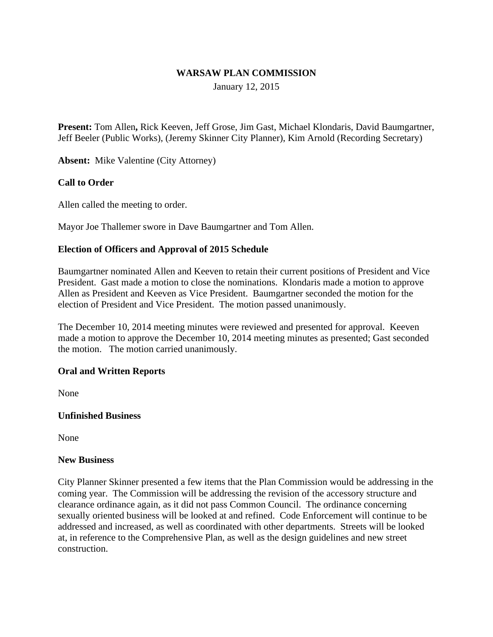#### **WARSAW PLAN COMMISSION**

January 12, 2015

**Present:** Tom Allen**,** Rick Keeven, Jeff Grose, Jim Gast, Michael Klondaris, David Baumgartner, Jeff Beeler (Public Works), (Jeremy Skinner City Planner), Kim Arnold (Recording Secretary)

**Absent:** Mike Valentine (City Attorney)

## **Call to Order**

Allen called the meeting to order.

Mayor Joe Thallemer swore in Dave Baumgartner and Tom Allen.

## **Election of Officers and Approval of 2015 Schedule**

Baumgartner nominated Allen and Keeven to retain their current positions of President and Vice President. Gast made a motion to close the nominations. Klondaris made a motion to approve Allen as President and Keeven as Vice President. Baumgartner seconded the motion for the election of President and Vice President. The motion passed unanimously.

The December 10, 2014 meeting minutes were reviewed and presented for approval. Keeven made a motion to approve the December 10, 2014 meeting minutes as presented; Gast seconded the motion. The motion carried unanimously.

## **Oral and Written Reports**

None

## **Unfinished Business**

None

#### **New Business**

City Planner Skinner presented a few items that the Plan Commission would be addressing in the coming year. The Commission will be addressing the revision of the accessory structure and clearance ordinance again, as it did not pass Common Council. The ordinance concerning sexually oriented business will be looked at and refined. Code Enforcement will continue to be addressed and increased, as well as coordinated with other departments. Streets will be looked at, in reference to the Comprehensive Plan, as well as the design guidelines and new street construction.